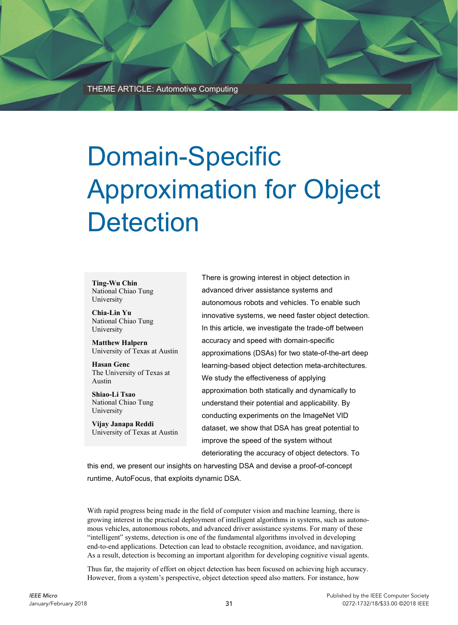# Domain-Specific Approximation for Object **Detection**

**Ting-Wu Chin**  National Chiao Tung University

**Chia-Lin Yu**  National Chiao Tung University

**Matthew Halpern**  University of Texas at Austin

**Hasan Genc**  The University of Texas at Austin

**Shiao-Li Tsao**  National Chiao Tung University

**Vijay Janapa Reddi**  University of Texas at Austin There is growing interest in object detection in advanced driver assistance systems and autonomous robots and vehicles. To enable such innovative systems, we need faster object detection. In this article, we investigate the trade-off between accuracy and speed with domain-specific approximations (DSAs) for two state-of-the-art deep learning-based object detection meta-architectures. We study the effectiveness of applying approximation both statically and dynamically to understand their potential and applicability. By conducting experiments on the ImageNet VID dataset, we show that DSA has great potential to improve the speed of the system without deteriorating the accuracy of object detectors. To

this end, we present our insights on harvesting DSA and devise a proof-of-concept runtime, AutoFocus, that exploits dynamic DSA.

With rapid progress being made in the field of computer vision and machine learning, there is growing interest in the practical deployment of intelligent algorithms in systems, such as autonomous vehicles, autonomous robots, and advanced driver assistance systems. For many of these "intelligent" systems, detection is one of the fundamental algorithms involved in developing end-to-end applications. Detection can lead to obstacle recognition, avoidance, and navigation. As a result, detection is becoming an important algorithm for developing cognitive visual agents.

Thus far, the majority of effort on object detection has been focused on achieving high accuracy. However, from a system's perspective, object detection speed also matters. For instance, how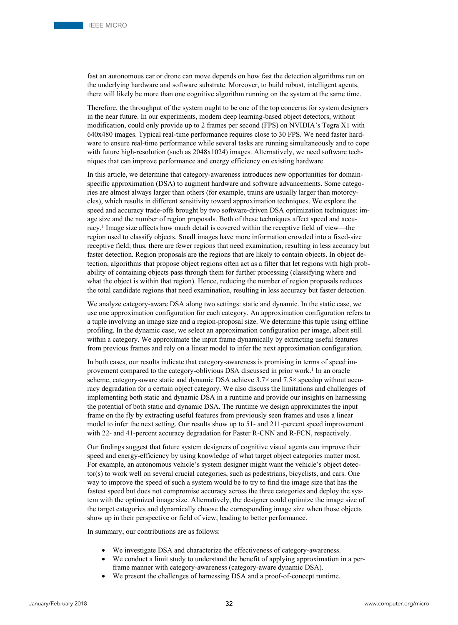fast an autonomous car or drone can move depends on how fast the detection algorithms run on the underlying hardware and software substrate. Moreover, to build robust, intelligent agents, there will likely be more than one cognitive algorithm running on the system at the same time.

Therefore, the throughput of the system ought to be one of the top concerns for system designers in the near future. In our experiments, modern deep learning-based object detectors, without modification, could only provide up to 2 frames per second (FPS) on NVIDIA's Tegra X1 with 640x480 images. Typical real-time performance requires close to 30 FPS. We need faster hardware to ensure real-time performance while several tasks are running simultaneously and to cope with future high-resolution (such as  $2048x1024$ ) images. Alternatively, we need software techniques that can improve performance and energy efficiency on existing hardware.

In this article, we determine that category-awareness introduces new opportunities for domainspecific approximation (DSA) to augment hardware and software advancements. Some categories are almost always larger than others (for example, trains are usually larger than motorcycles), which results in different sensitivity toward approximation techniques. We explore the speed and accuracy trade-offs brought by two software-driven DSA optimization techniques: image size and the number of region proposals. Both of these techniques affect speed and accuracy.<sup>1</sup> Image size affects how much detail is covered within the receptive field of view—the region used to classify objects. Small images have more information crowded into a fixed-size receptive field; thus, there are fewer regions that need examination, resulting in less accuracy but faster detection. Region proposals are the regions that are likely to contain objects. In object detection, algorithms that propose object regions often act as a filter that let regions with high probability of containing objects pass through them for further processing (classifying where and what the object is within that region). Hence, reducing the number of region proposals reduces the total candidate regions that need examination, resulting in less accuracy but faster detection.

We analyze category-aware DSA along two settings: static and dynamic. In the static case, we use one approximation configuration for each category. An approximation configuration refers to a tuple involving an image size and a region-proposal size. We determine this tuple using offline profiling. In the dynamic case, we select an approximation configuration per image, albeit still within a category. We approximate the input frame dynamically by extracting useful features from previous frames and rely on a linear model to infer the next approximation configuration.

In both cases, our results indicate that category-awareness is promising in terms of speed improvement compared to the category-oblivious DSA discussed in prior work.<sup>1</sup> In an oracle scheme, category-aware static and dynamic DSA achieve 3.7× and 7.5× speedup without accuracy degradation for a certain object category. We also discuss the limitations and challenges of implementing both static and dynamic DSA in a runtime and provide our insights on harnessing the potential of both static and dynamic DSA. The runtime we design approximates the input frame on the fly by extracting useful features from previously seen frames and uses a linear model to infer the next setting. Our results show up to 51- and 211-percent speed improvement with 22- and 41-percent accuracy degradation for Faster R-CNN and R-FCN, respectively.

Our findings suggest that future system designers of cognitive visual agents can improve their speed and energy-efficiency by using knowledge of what target object categories matter most. For example, an autonomous vehicle's system designer might want the vehicle's object detector(s) to work well on several crucial categories, such as pedestrians, bicyclists, and cars. One way to improve the speed of such a system would be to try to find the image size that has the fastest speed but does not compromise accuracy across the three categories and deploy the system with the optimized image size. Alternatively, the designer could optimize the image size of the target categories and dynamically choose the corresponding image size when those objects show up in their perspective or field of view, leading to better performance.

In summary, our contributions are as follows:

- We investigate DSA and characterize the effectiveness of category-awareness.
- We conduct a limit study to understand the benefit of applying approximation in a perframe manner with category-awareness (category-aware dynamic DSA).
- We present the challenges of harnessing DSA and a proof-of-concept runtime.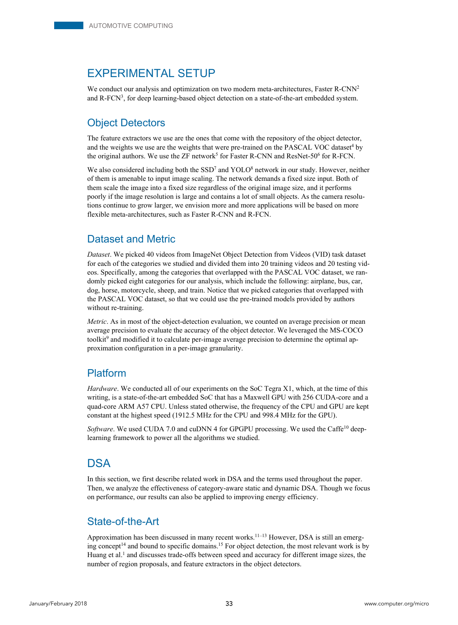# EXPERIMENTAL SETUP

We conduct our analysis and optimization on two modern meta-architectures, Faster R-CNN<sup>2</sup> and R-FCN3, for deep learning-based object detection on a state-of-the-art embedded system.

## Object Detectors

The feature extractors we use are the ones that come with the repository of the object detector, and the weights we use are the weights that were pre-trained on the PASCAL VOC dataset<sup>4</sup> by the original authors. We use the ZF network<sup>5</sup> for Faster R-CNN and ResNet-50<sup>6</sup> for R-FCN.

We also considered including both the  $SSD<sup>7</sup>$  and YOLO<sup>8</sup> network in our study. However, neither of them is amenable to input image scaling. The network demands a fixed size input. Both of them scale the image into a fixed size regardless of the original image size, and it performs poorly if the image resolution is large and contains a lot of small objects. As the camera resolutions continue to grow larger, we envision more and more applications will be based on more flexible meta-architectures, such as Faster R-CNN and R-FCN.

## Dataset and Metric

*Dataset*. We picked 40 videos from ImageNet Object Detection from Videos (VID) task dataset for each of the categories we studied and divided them into 20 training videos and 20 testing videos. Specifically, among the categories that overlapped with the PASCAL VOC dataset, we randomly picked eight categories for our analysis, which include the following: airplane, bus, car, dog, horse, motorcycle, sheep, and train. Notice that we picked categories that overlapped with the PASCAL VOC dataset, so that we could use the pre-trained models provided by authors without re-training.

*Metric*. As in most of the object-detection evaluation, we counted on average precision or mean average precision to evaluate the accuracy of the object detector. We leveraged the MS-COCO toolkit<sup>9</sup> and modified it to calculate per-image average precision to determine the optimal approximation configuration in a per-image granularity.

## Platform

*Hardware*. We conducted all of our experiments on the SoC Tegra X1, which, at the time of this writing, is a state-of-the-art embedded SoC that has a Maxwell GPU with 256 CUDA-core and a quad-core ARM A57 CPU. Unless stated otherwise, the frequency of the CPU and GPU are kept constant at the highest speed (1912.5 MHz for the CPU and 998.4 MHz for the GPU).

*Software*. We used CUDA 7.0 and cuDNN 4 for GPGPU processing. We used the Caffe<sup>10</sup> deeplearning framework to power all the algorithms we studied.

# **DSA**

In this section, we first describe related work in DSA and the terms used throughout the paper. Then, we analyze the effectiveness of category-aware static and dynamic DSA. Though we focus on performance, our results can also be applied to improving energy efficiency.

## State-of-the-Art

Approximation has been discussed in many recent works.<sup>11–13</sup> However, DSA is still an emerging concept<sup>14</sup> and bound to specific domains.<sup>15</sup> For object detection, the most relevant work is by Huang et al.<sup>1</sup> and discusses trade-offs between speed and accuracy for different image sizes, the number of region proposals, and feature extractors in the object detectors.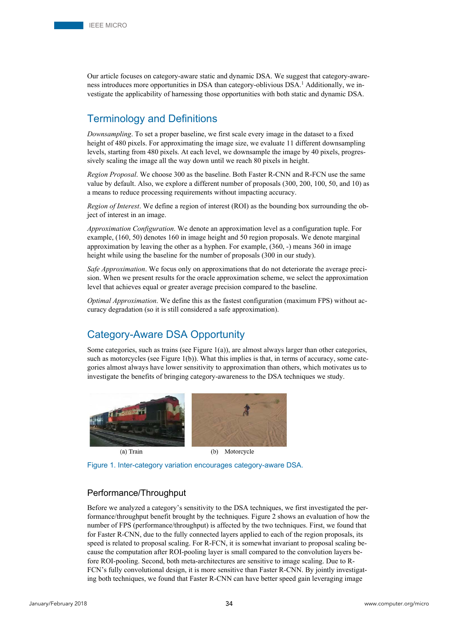Our article focuses on category-aware static and dynamic DSA. We suggest that category-awareness introduces more opportunities in DSA than category-oblivious DSA.<sup>1</sup> Additionally, we investigate the applicability of harnessing those opportunities with both static and dynamic DSA.

## Terminology and Definitions

*Downsampling*. To set a proper baseline, we first scale every image in the dataset to a fixed height of 480 pixels. For approximating the image size, we evaluate 11 different downsampling levels, starting from 480 pixels. At each level, we downsample the image by 40 pixels, progressively scaling the image all the way down until we reach 80 pixels in height.

*Region Proposal*. We choose 300 as the baseline. Both Faster R-CNN and R-FCN use the same value by default. Also, we explore a different number of proposals (300, 200, 100, 50, and 10) as a means to reduce processing requirements without impacting accuracy.

*Region of Interest*. We define a region of interest (ROI) as the bounding box surrounding the object of interest in an image.

*Approximation Configuration*. We denote an approximation level as a configuration tuple. For example, (160, 50) denotes 160 in image height and 50 region proposals. We denote marginal approximation by leaving the other as a hyphen. For example, (360, -) means 360 in image height while using the baseline for the number of proposals (300 in our study).

*Safe Approximation*. We focus only on approximations that do not deteriorate the average precision. When we present results for the oracle approximation scheme, we select the approximation level that achieves equal or greater average precision compared to the baseline.

*Optimal Approximation*. We define this as the fastest configuration (maximum FPS) without accuracy degradation (so it is still considered a safe approximation).

## Category-Aware DSA Opportunity

Some categories, such as trains (see Figure 1(a)), are almost always larger than other categories, such as motorcycles (see Figure  $1(b)$ ). What this implies is that, in terms of accuracy, some categories almost always have lower sensitivity to approximation than others, which motivates us to investigate the benefits of bringing category-awareness to the DSA techniques we study.



(a) Train

Motorcycle  $(b)$ 



## Performance/Throughput

Before we analyzed a category's sensitivity to the DSA techniques, we first investigated the performance/throughput benefit brought by the techniques. Figure 2 shows an evaluation of how the number of FPS (performance/throughput) is affected by the two techniques. First, we found that for Faster R-CNN, due to the fully connected layers applied to each of the region proposals, its speed is related to proposal scaling. For R-FCN, it is somewhat invariant to proposal scaling because the computation after ROI-pooling layer is small compared to the convolution layers before ROI-pooling. Second, both meta-architectures are sensitive to image scaling. Due to R-FCN's fully convolutional design, it is more sensitive than Faster R-CNN. By jointly investigating both techniques, we found that Faster R-CNN can have better speed gain leveraging image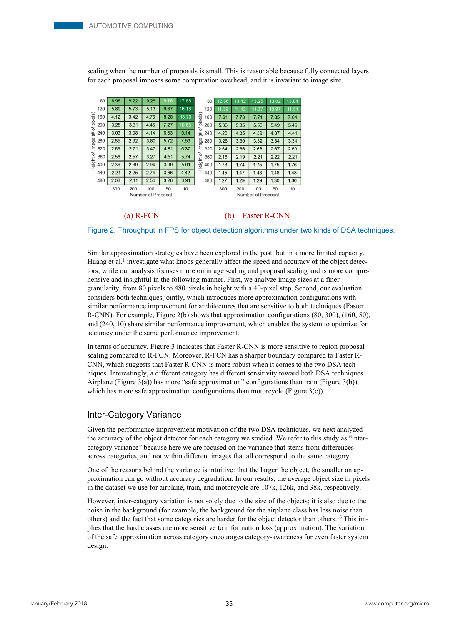scaling when the number of proposals is small. This is reasonable because fully connected layers for each proposal imposes some computation overhead, and it is invariant to image size.



#### (b) Faster R-CNN

Figure 2. Throughput in FPS for object detection algorithms under two kinds of DSA techniques.

Similar approximation strategies have been explored in the past, but in a more limited capacity. Huang et al.<sup>1</sup> investigate what knobs generally affect the speed and accuracy of the object detectors, while our analysis focuses more on image scaling and proposal scaling and is more comprehensive and insightful in the following manner. First, we analyze image sizes at a finer granularity, from 80 pixels to 480 pixels in height with a 40-pixel step. Second, our evaluation considers both techniques jointly, which introduces more approximation configurations with similar performance improvement for architectures that are sensitive to both techniques (Faster R-CNN). For example, Figure 2(b) shows that approximation configurations (80, 300), (160, 50), and (240, 10) share similar performance improvement, which enables the system to optimize for accuracy under the same performance improvement.

In terms of accuracy, Figure 3 indicates that Faster R-CNN is more sensitive to region proposal scaling compared to R-FCN. Moreover, R-FCN has a sharper boundary compared to Faster R-CNN, which suggests that Faster R-CNN is more robust when it comes to the two DSA techniques. Interestingly, a different category has different sensitivity toward both DSA techniques. Airplane (Figure 3(a)) has more "safe approximation" configurations than train (Figure 3(b)), which has more safe approximation configurations than motorcycle (Figure 3(c)).

### Inter-Category Variance

 $(a)$  R-FCN

Given the performance improvement motivation of the two DSA techniques, we next analyzed the accuracy of the object detector for each category we studied. We refer to this study as "intercategory variance" because here we are focused on the variance that stems from differences across categories, and not within different images that all correspond to the same category.

One of the reasons behind the variance is intuitive: that the larger the object, the smaller an approximation can go without accuracy degradation. In our results, the average object size in pixels in the dataset we use for airplane, train, and motorcycle are 107k, 126k, and 38k, respectively.

However, inter-category variation is not solely due to the size of the objects; it is also due to the noise in the background (for example, the background for the airplane class has less noise than others) and the fact that some categories are harder for the object detector than others.16 This implies that the hard classes are more sensitive to information loss (approximation). The variation of the safe approximation across category encourages category-awareness for even faster system design.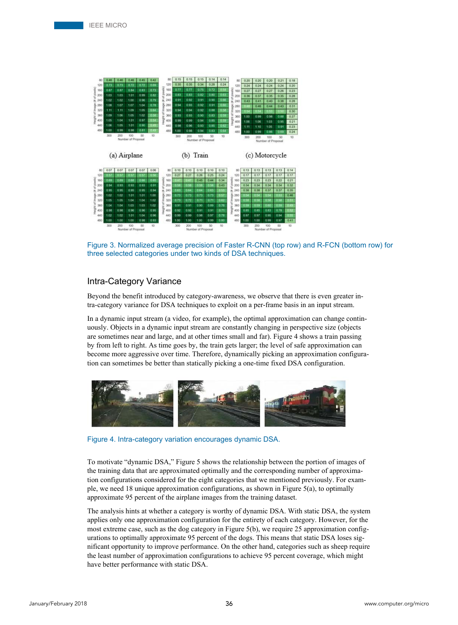

Figure 3. Normalized average precision of Faster R-CNN (top row) and R-FCN (bottom row) for three selected categories under two kinds of DSA techniques.

## Intra-Category Variance

Beyond the benefit introduced by category-awareness, we observe that there is even greater intra-category variance for DSA techniques to exploit on a per-frame basis in an input stream.

In a dynamic input stream (a video, for example), the optimal approximation can change continuously. Objects in a dynamic input stream are constantly changing in perspective size (objects are sometimes near and large, and at other times small and far). Figure 4 shows a train passing by from left to right. As time goes by, the train gets larger; the level of safe approximation can become more aggressive over time. Therefore, dynamically picking an approximation configuration can sometimes be better than statically picking a one-time fixed DSA configuration.



Figure 4. Intra-category variation encourages dynamic DSA.

To motivate "dynamic DSA," Figure 5 shows the relationship between the portion of images of the training data that are approximated optimally and the corresponding number of approximation configurations considered for the eight categories that we mentioned previously. For example, we need 18 unique approximation configurations, as shown in Figure 5(a), to optimally approximate 95 percent of the airplane images from the training dataset.

The analysis hints at whether a category is worthy of dynamic DSA. With static DSA, the system applies only one approximation configuration for the entirety of each category. However, for the most extreme case, such as the dog category in Figure 5(b), we require 25 approximation configurations to optimally approximate 95 percent of the dogs. This means that static DSA loses significant opportunity to improve performance. On the other hand, categories such as sheep require the least number of approximation configurations to achieve 95 percent coverage, which might have better performance with static DSA.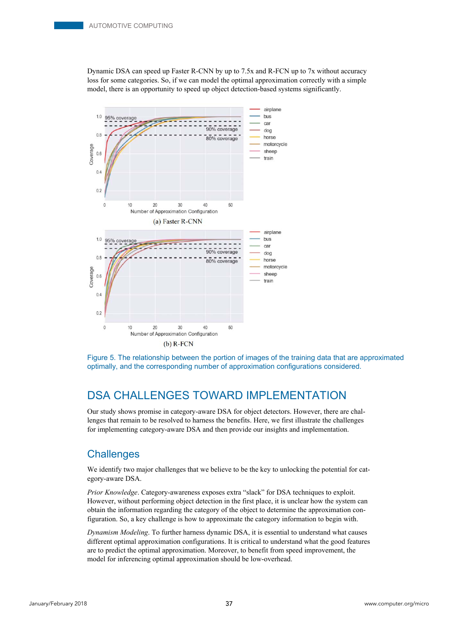Dynamic DSA can speed up Faster R-CNN by up to 7.5x and R-FCN up to 7x without accuracy loss for some categories. So, if we can model the optimal approximation correctly with a simple model, there is an opportunity to speed up object detection-based systems significantly.



Figure 5. The relationship between the portion of images of the training data that are approximated optimally, and the corresponding number of approximation configurations considered.

# DSA CHALLENGES TOWARD IMPLEMENTATION

Our study shows promise in category-aware DSA for object detectors. However, there are challenges that remain to be resolved to harness the benefits. Here, we first illustrate the challenges for implementing category-aware DSA and then provide our insights and implementation.

## **Challenges**

We identify two major challenges that we believe to be the key to unlocking the potential for category-aware DSA.

*Prior Knowledge*. Category-awareness exposes extra "slack" for DSA techniques to exploit. However, without performing object detection in the first place, it is unclear how the system can obtain the information regarding the category of the object to determine the approximation configuration. So, a key challenge is how to approximate the category information to begin with.

*Dynamism Modeling*. To further harness dynamic DSA, it is essential to understand what causes different optimal approximation configurations. It is critical to understand what the good features are to predict the optimal approximation. Moreover, to benefit from speed improvement, the model for inferencing optimal approximation should be low-overhead.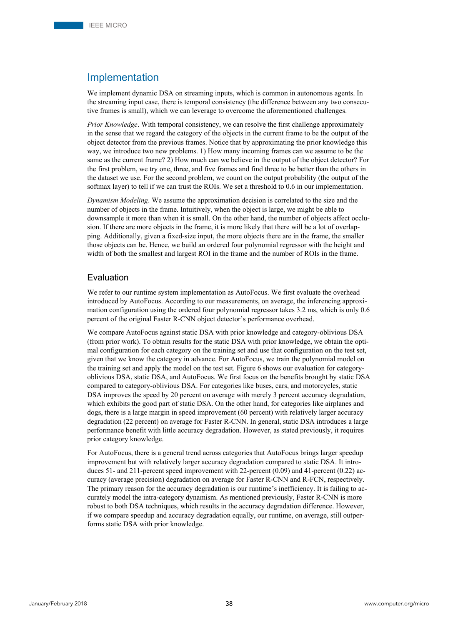## Implementation

We implement dynamic DSA on streaming inputs, which is common in autonomous agents. In the streaming input case, there is temporal consistency (the difference between any two consecutive frames is small), which we can leverage to overcome the aforementioned challenges.

*Prior Knowledge*. With temporal consistency, we can resolve the first challenge approximately in the sense that we regard the category of the objects in the current frame to be the output of the object detector from the previous frames. Notice that by approximating the prior knowledge this way, we introduce two new problems. 1) How many incoming frames can we assume to be the same as the current frame? 2) How much can we believe in the output of the object detector? For the first problem, we try one, three, and five frames and find three to be better than the others in the dataset we use. For the second problem, we count on the output probability (the output of the softmax layer) to tell if we can trust the ROIs. We set a threshold to 0.6 in our implementation.

*Dynamism Modeling*. We assume the approximation decision is correlated to the size and the number of objects in the frame. Intuitively, when the object is large, we might be able to downsample it more than when it is small. On the other hand, the number of objects affect occlusion. If there are more objects in the frame, it is more likely that there will be a lot of overlapping. Additionally, given a fixed-size input, the more objects there are in the frame, the smaller those objects can be. Hence, we build an ordered four polynomial regressor with the height and width of both the smallest and largest ROI in the frame and the number of ROIs in the frame.

## Evaluation

We refer to our runtime system implementation as AutoFocus. We first evaluate the overhead introduced by AutoFocus. According to our measurements, on average, the inferencing approximation configuration using the ordered four polynomial regressor takes 3.2 ms, which is only 0.6 percent of the original Faster R-CNN object detector's performance overhead.

We compare AutoFocus against static DSA with prior knowledge and category-oblivious DSA (from prior work). To obtain results for the static DSA with prior knowledge, we obtain the optimal configuration for each category on the training set and use that configuration on the test set, given that we know the category in advance. For AutoFocus, we train the polynomial model on the training set and apply the model on the test set. Figure 6 shows our evaluation for categoryoblivious DSA, static DSA, and AutoFocus. We first focus on the benefits brought by static DSA compared to category-oblivious DSA. For categories like buses, cars, and motorcycles, static DSA improves the speed by 20 percent on average with merely 3 percent accuracy degradation, which exhibits the good part of static DSA. On the other hand, for categories like airplanes and dogs, there is a large margin in speed improvement (60 percent) with relatively larger accuracy degradation (22 percent) on average for Faster R-CNN. In general, static DSA introduces a large performance benefit with little accuracy degradation. However, as stated previously, it requires prior category knowledge.

For AutoFocus, there is a general trend across categories that AutoFocus brings larger speedup improvement but with relatively larger accuracy degradation compared to static DSA. It introduces 51- and 211-percent speed improvement with 22-percent (0.09) and 41-percent (0.22) accuracy (average precision) degradation on average for Faster R-CNN and R-FCN, respectively. The primary reason for the accuracy degradation is our runtime's inefficiency. It is failing to accurately model the intra-category dynamism. As mentioned previously, Faster R-CNN is more robust to both DSA techniques, which results in the accuracy degradation difference. However, if we compare speedup and accuracy degradation equally, our runtime, on average, still outperforms static DSA with prior knowledge.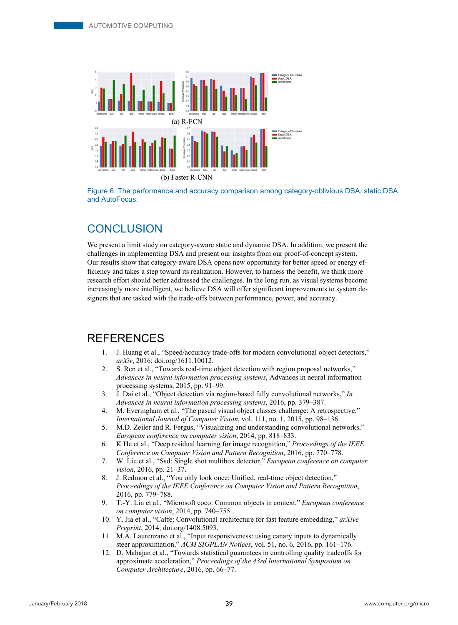

Figure 6. The performance and accuracy comparison among category-oblivious DSA, static DSA, and AutoFocus.

## **CONCLUSION**

We present a limit study on category-aware static and dynamic DSA. In addition, we present the challenges in implementing DSA and present our insights from our proof-of-concept system. Our results show that category-aware DSA opens new opportunity for better speed or energy efficiency and takes a step toward its realization. However, to harness the benefit, we think more research effort should better addressed the challenges. In the long run, as visual systems become increasingly more intelligent, we believe DSA will offer significant improvements to system designers that are tasked with the trade-offs between performance, power, and accuracy.

## **REFERENCES**

- 1. J. Huang et al., "Speed/accuracy trade-offs for modern convolutional object detectors," *arXiv*, 2016; doi.org/1611.10012.
- 2. S. Ren et al., "Towards real-time object detection with region proposal networks," *Advances in neural information processing systems*, Advances in neural information processing systems, 2015, pp. 91–99.
- 3. J. Dai et al., "Object detection via region-based fully convolutional networks," *In Advances in neural information processing systems*, 2016, pp. 379–387.
- 4. M. Everingham et al., "The pascal visual object classes challenge: A retrospective," *International Journal of Computer Vision*, vol. 111, no. 1, 2015, pp. 98–136.
- 5. M.D. Zeiler and R. Fergus, "Visualizing and understanding convolutional networks," *European conference on computer vision*, 2014, pp. 818–833.
- 6. K He et al., "Deep residual learning for image recognition," *Proceedings of the IEEE Conference on Computer Vision and Pattern Recognition*, 2016, pp. 770–778.
- 7. W. Liu et al., "Ssd: Single shot multibox detector," *European conference on computer vision*, 2016, pp. 21–37.
- 8. J. Redmon et al., "You only look once: Unified, real-time object detection," *Proceedings of the IEEE Conference on Computer Vision and Pattern Recognition*, 2016, pp. 779–788.
- 9. T.-Y. Lin et al., "Microsoft coco: Common objects in context," *European conference on computer vision*, 2014, pp. 740–755.
- 10. Y. Jia et al., "Caffe: Convolutional architecture for fast feature embedding," *arXive Preprint*, 2014; doi.org/1408.5093.
- 11. M.A. Laurenzano et al., "Input responsiveness: using canary inputs to dynamically steer approximation," *ACM SIGPLAN Notices*, vol. 51, no. 6, 2016, pp. 161–176.
- 12. D. Mahajan et al., "Towards statistical guarantees in controlling quality tradeoffs for approximate acceleration," *Proceedings of the 43rd International Symposium on Computer Architecture*, 2016, pp. 66–77.